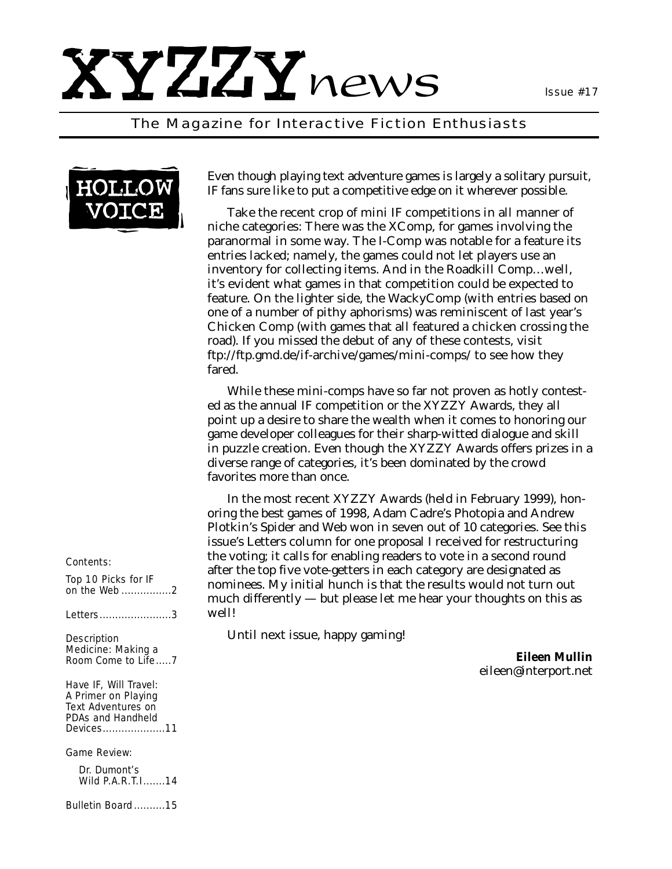

# *The Magazine for Interactive Fiction Enthusiasts*



Even though playing text adventure games is largely a solitary pursuit, IF fans sure like to put a competitive edge on it wherever possible.

Take the recent crop of mini IF competitions in all manner of niche categories: There was the XComp, for games involving the paranormal in some way. The I-Comp was notable for a feature its entries lacked; namely, the games could not let players use an inventory for collecting items. And in the Roadkill Comp…well, it's evident what games in that competition could be expected to feature. On the lighter side, the WackyComp (with entries based on one of a number of pithy aphorisms) was reminiscent of last year's Chicken Comp (with games that all featured a chicken crossing the road). If you missed the debut of any of these contests, visit <ftp://ftp.gmd.de/if-archive/games/mini-comps/> to see how they fared.

While these mini-comps have so far not proven as hotly contested as the annual IF competition or the XYZZY Awards, they all point up a desire to share the wealth when it comes to honoring our game developer colleagues for their sharp-witted dialogue and skill in puzzle creation. Even though the XYZZY Awards offers prizes in a diverse range of categories, it's been dominated by the crowd favorites more than once.

In the most recent XYZZY Awards (held in February 1999), honoring the best games of 1998, Adam Cadre's Photopia and Andrew Plotkin's Spider and Web won in seven out of 10 categories. See this issue's Letters column for one proposal I received for restructuring the voting; it calls for enabling readers to vote in a second round after the top five vote-getters in each category are designated as nominees. My initial hunch is that the results would not turn out much differently — but please let me hear your thoughts on this as well!

Until next issue, happy gaming!

*Eileen Mullin eileen@interport.net*

### *Contents:*

*Top 10 Picks for IF on the Web ................2*

*Letters.......................3*

*Description Medicine: Making a Room Come to Life.....7*

*Have IF, Will Travel: A Primer on Playing Text Adventures on PDAs and Handheld Devices....................11*

*Game Review:*

*Dr. Dumont's Wild P.A.R.T.I.......14*

*Bulletin Board ..........15*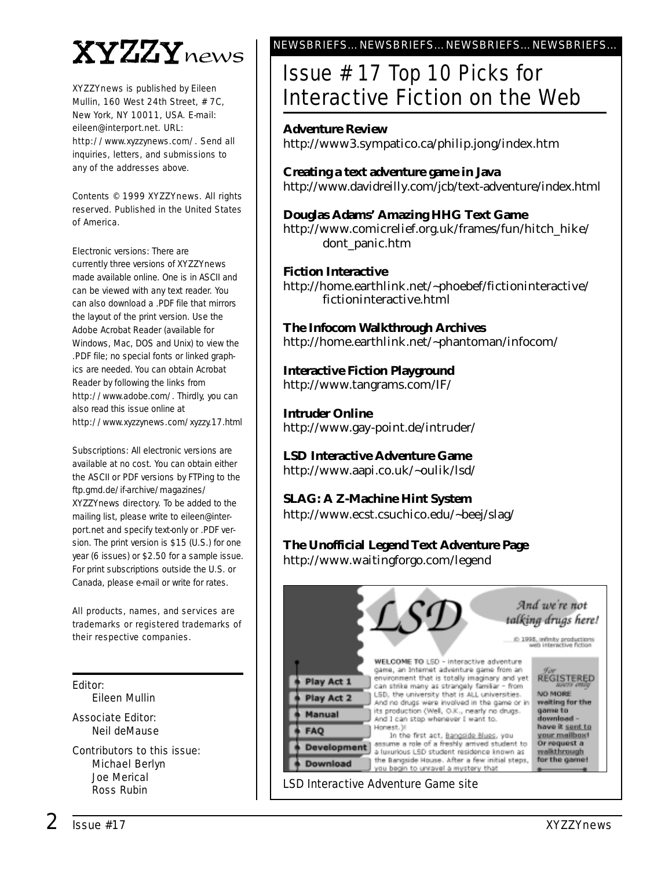# XYZZYnews

*XYZZYnews* is published by Eileen Mullin, 160 West 24th Street, # 7C, New York, NY 10011, USA. E-mail: eileen@interport.net. URL: [http://www.xyzzynews.com/.](http://www.xyzzynews.com/) Send all inquiries, letters, and submissions to any of the addresses above.

Contents © 1999 *XYZZYnews*. All rights reserved. Published in the United States of America.

Electronic versions: There are currently three versions of *XYZZYnews* made available online. One is in ASCII and can be viewed with any text reader. You can also download a .PDF file that mirrors the layout of the print version. Use the Adobe Acrobat Reader (available for Windows, Mac, DOS and Unix) to view the .PDF file; no special fonts or linked graphics are needed. You can obtain Acrobat Reader by following the links from [http://www.adobe.com/.](http://www.adobe.com/) Thirdly, you can also read this issue online at <http://www.xyzzynews.com/xyzzy.17.html>

Subscriptions: All electronic versions are available at no cost. You can obtain either the ASCII or PDF versions by FTPing to the ftp.gmd.de/if-archive/magazines/ XYZZYnews directory. To be added to the mailing list, please write to eileen@interport.net and specify text-only or .PDF version. The print version is \$15 (U.S.) for one year (6 issues) or \$2.50 for a sample issue. For print subscriptions outside the U.S. or Canada, please e-mail or write for rates.

All products, names, and services are trademarks or registered trademarks of their respective companies.

# Editor:

Eileen Mullin

Associate Editor: Neil deMause

Contributors to this issue: Michael Berlyn Joe Merical Ross Rubin

# NEWSBRIEFS…NEWSBRIEFS…NEWSBRIEFS…NEWSBRIEFS…

# Issue # 17 Top 10 Picks for Interactive Fiction on the Web

# **Adventure Review**

<http://www3.sympatico.ca/philip.jong/index.htm>

**Creating a text adventure game in Java** <http://www.davidreilly.com/jcb/text-adventure/index.html>

**Douglas Adams' Amazing HHG Text Game** [http://www.comicrelief.org.uk/frames/fun/hitch\\_hike/](http://www.comicrelief.org.uk/frames/fun/hitch_hike/) dont panic.htm

# **Fiction Interactive**

<http://home.earthlink.net/~phoebef/fictioninteractive/> fictioninteractive.html

**The Infocom Walkthrough Archives** <http://home.earthlink.net/~phantoman/infocom/>

**Interactive Fiction Playground** <http://www.tangrams.com/IF/>

**Intruder Online** <http://www.gay-point.de/intruder/>

**LSD Interactive Adventure Game** <http://www.aapi.co.uk/~oulik/lsd/>

**SLAG: A Z-Machine Hint System** <http://www.ecst.csuchico.edu/~beej/slag/>

# **The Unofficial Legend Text Adventure Page**

<http://www.waitingforgo.com/legend>

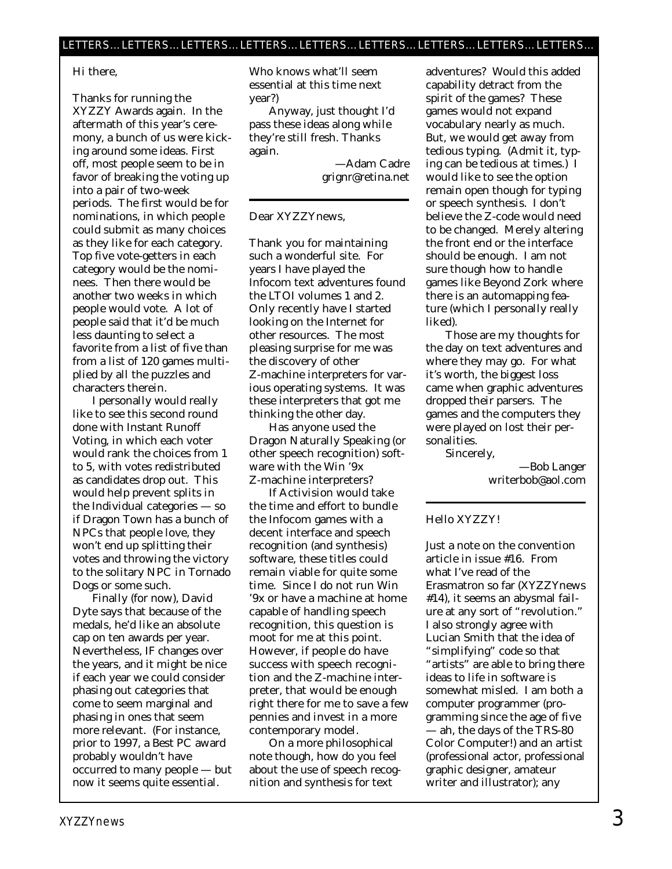### Hi there,

Thanks for running the XYZZY Awards again. In the aftermath of this year's ceremony, a bunch of us were kicking around some ideas. First off, most people seem to be in favor of breaking the voting up into a pair of two-week periods. The first would be for nominations, in which people could submit as many choices as they like for each category. Top five vote-getters in each category would be the nominees. Then there would be another two weeks in which people would vote. A lot of people said that it'd be much less daunting to select a favorite from a list of five than from a list of 120 games multiplied by all the puzzles and characters therein.

I personally would really like to see this second round done with Instant Runoff Voting, in which each voter would rank the choices from 1 to 5, with votes redistributed as candidates drop out. This would help prevent splits in the Individual categories — so if Dragon Town has a bunch of NPCs that people love, they won't end up splitting their votes and throwing the victory to the solitary NPC in Tornado Dogs or some such.

Finally (for now), David Dyte says that because of the medals, he'd like an absolute cap on ten awards per year. Nevertheless, IF changes over the years, and it might be nice if each year we could consider phasing out categories that come to seem marginal and phasing in ones that seem more relevant. (For instance, prior to 1997, a Best PC award probably wouldn't have occurred to many people — but now it seems quite essential.

Who knows what'll seem essential at this time next year?)

Anyway, just thought I'd pass these ideas along while they're still fresh. Thanks again.

> —Adam Cadre grignr@retina.net

### Dear XYZZYnews,

Thank you for maintaining such a wonderful site. For years I have played the Infocom text adventures found the LTOI volumes 1 and 2. Only recently have I started looking on the Internet for other resources. The most pleasing surprise for me was the discovery of other Z-machine interpreters for various operating systems. It was these interpreters that got me thinking the other day.

Has anyone used the Dragon Naturally Speaking (or other speech recognition) software with the Win '9x Z-machine interpreters?

If Activision would take the time and effort to bundle the Infocom games with a decent interface and speech recognition (and synthesis) software, these titles could remain viable for quite some time. Since I do not run Win '9x or have a machine at home capable of handling speech recognition, this question is moot for me at this point. However, if people do have success with speech recognition and the Z-machine interpreter, that would be enough right there for me to save a few pennies and invest in a more contemporary model.

On a more philosophical note though, how do you feel about the use of speech recognition and synthesis for text

adventures? Would this added capability detract from the spirit of the games? These games would not expand vocabulary nearly as much. But, we would get away from tedious typing. (Admit it, typing can be tedious at times.) I would like to see the option remain open though for typing or speech synthesis. I don't believe the Z-code would need to be changed. Merely altering the front end or the interface should be enough. I am not sure though how to handle games like Beyond Zork where there is an automapping feature (which I personally really liked).

Those are my thoughts for the day on text adventures and where they may go. For what it's worth, the biggest loss came when graphic adventures dropped their parsers. The games and the computers they were played on lost their personalities.

Sincerely,

—Bob Langer writerbob@aol.com

## Hello XYZZY!

Just a note on the convention article in issue #16. From what I've read of the Erasmatron so far (*XYZZYnews* #14), it seems an abysmal failure at any sort of "revolution." I also strongly agree with Lucian Smith that the idea of "simplifying" code so that "artists" are able to bring there ideas to life in software is somewhat misled. I am *both* a computer programmer (programming since the age of five — ah, the days of the TRS-80 Color Computer!) and an artist (professional actor, professional graphic designer, amateur writer and illustrator); any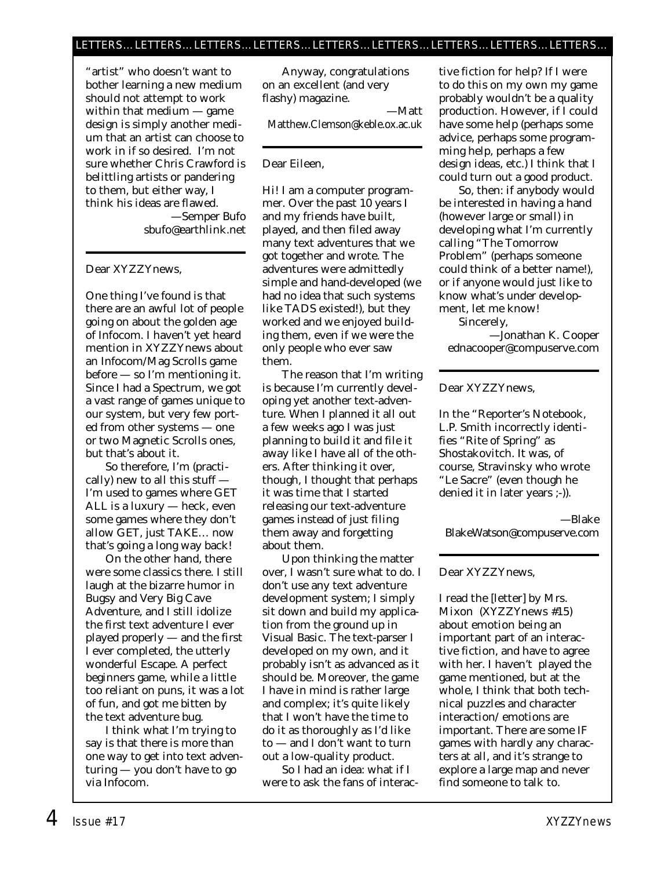"artist" who doesn't want to bother learning a new medium should not attempt to work within that medium — game design is simply another medium that an artist can choose to work in if so desired. I'm not sure whether Chris Crawford is belittling artists or pandering to them, but either way, I think his ideas are flawed. —Semper Bufo sbufo@earthlink.net

## Dear XYZZYnews,

One thing I've found is that there are an awful lot of people going on about the golden age of Infocom. I haven't yet heard mention in XYZZYnews about an Infocom/Mag Scrolls game before — so I'm mentioning it. Since I had a Spectrum, we got a vast range of games unique to our system, but very few ported from other systems — one or two Magnetic Scrolls ones, but that's about it.

So therefore, I'm (practically) new to all this stuff — I'm used to games where GET ALL is a luxury — heck, even some games where they don't allow GET, just TAKE… now that's going a long way back!

On the other hand, there were some classics there. I still laugh at the bizarre humor in Bugsy and Very Big Cave Adventure, and I still idolize the first text adventure I ever played properly — and the first I ever completed, the utterly wonderful Escape. A perfect beginners game, while a little too reliant on puns, it was a lot of fun, and got me bitten by the text adventure bug.

I think what I'm trying to say is that there is more than one way to get into text adventuring — you don't have to go via Infocom.

Anyway, congratulations on an excellent (and very flashy) magazine.

—Matt Matthew.Clemson@keble.ox.ac.uk

# Dear Eileen,

Hi! I am a computer programmer. Over the past 10 years I and my friends have built, played, and then filed away many text adventures that we got together and wrote. The adventures were admittedly simple and hand-developed (we had no idea that such systems like TADS existed!), but they worked and we enjoyed building them, even if we were the only people who ever saw them.

The reason that I'm writing is because I'm currently developing yet another text-adventure. When I planned it all out a few weeks ago I was just planning to build it and file it away like I have all of the others. After thinking it over, though, I thought that perhaps it was time that I started releasing our text-adventure games instead of just filing them away and forgetting about them.

Upon thinking the matter over, I wasn't sure what to do. I don't use any text adventure development system; I simply sit down and build my application from the ground up in Visual Basic. The text-parser I developed on my own, and it probably isn't as advanced as it should be. Moreover, the game I have in mind is rather large and complex; it's quite likely that I won't have the time to do it as thoroughly as I'd like to — and I don't want to turn out a low-quality product.

So I had an idea: what if I were to ask the fans of interactive fiction for help? If I were to do this on my own my game probably wouldn't be a quality production. However, if I could have some help (perhaps some advice, perhaps some programming help, perhaps a few design ideas, etc.) I think that I could turn out a good product.

So, then: if anybody would be interested in having a hand (however large or small) in developing what I'm currently calling "The Tomorrow Problem" (perhaps someone could think of a better name!), or if anyone would just like to know what's under development, let me know!

Sincerely,

—Jonathan K. Cooper ednacooper@compuserve.com

# Dear XYZZYnews,

In the "Reporter's Notebook, L.P. Smith incorrectly identifies "Rite of Spring" as Shostakovitch. It was, of course, Stravinsky who wrote "Le Sacre" (even though he denied it in later years ;-)).

—Blake BlakeWatson@compuserve.com

## Dear XYZZYnews,

I read the [letter] by Mrs. Mixon (*XYZZYnews* #15) about emotion being an important part of an interactive fiction, and have to agree with her. I haven't played the game mentioned, but at the whole, I think that both technical puzzles and character interaction/ emotions are important. There are some IF games with hardly any characters at all, and it's strange to explore a large map and never find someone to talk to.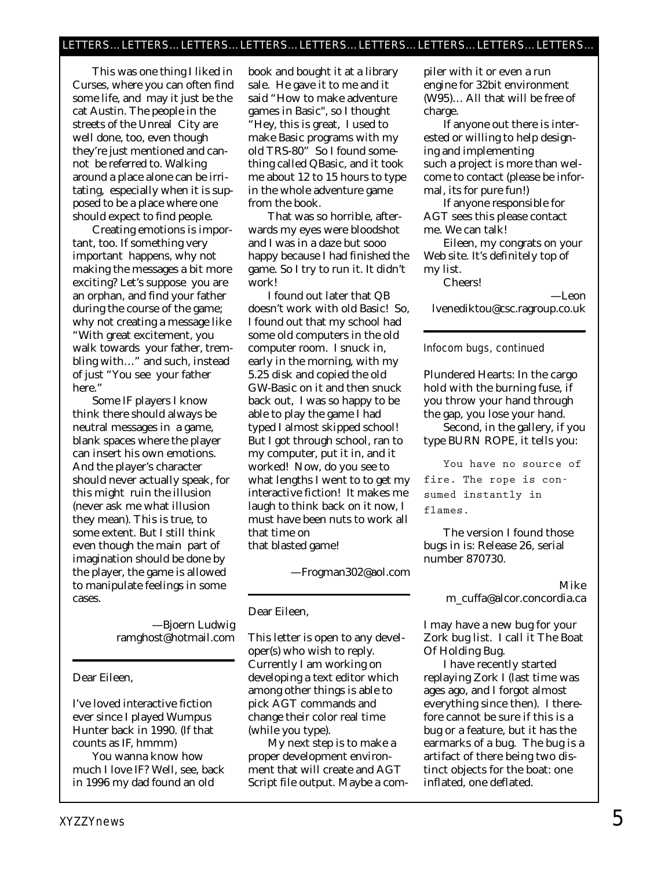This was one thing I liked in Curses, where you can often find some life, and may it just be the cat Austin. The people in the streets of the Unreal City are well done, too, even though they're just mentioned and cannot be referred to. Walking around a place alone can be irritating, especially when it is supposed to be a place where one should expect to find people.

Creating emotions is important, too. If something very important happens, why not making the messages a bit more exciting? Let's suppose you are an orphan, and find your father during the course of the game; why not creating a message like "With great excitement, you walk towards your father, trembling with…" and such, instead of just "You see your father here."

Some IF players I know think there should always be neutral messages in a game, blank spaces where the player can insert his own emotions. And the player's character should never actually speak, for this might ruin the illusion (never ask me what illusion they mean). This is true, to some extent. But I still think even though the main part of imagination should be done by the player, the game is allowed to manipulate feelings in some cases.

> —Bjoern Ludwig ramghost@hotmail.com

Dear Eileen,

I've loved interactive fiction ever since I played Wumpus Hunter back in 1990. (If that counts as IF, hmmm)

You wanna know how much I love IF? Well, see, back in 1996 my dad found an old

book and bought it at a library sale. He gave it to me and it said "How to make adventure games in Basic", so I thought "Hey, this is great, I used to make Basic programs with my old TRS-80" So I found something called QBasic, and it took me about 12 to 15 hours to type in the whole adventure game from the book.

That was so horrible, afterwards my eyes were bloodshot and I was in a daze but sooo happy because I had finished the game. So I try to run it. It didn't work!

I found out later that QB doesn't work with old Basic! So, I found out that my school had some old computers in the old computer room. I snuck in, early in the morning, with my 5.25 disk and copied the old GW-Basic on it and then snuck back out, I was so happy to be able to play the game I had typed I almost skipped school! But I got through school, ran to my computer, put it in, and it worked! Now, do you see to what lengths I went to to get my interactive fiction! It makes me laugh to think back on it now, I must have been nuts to work all that time on that blasted game!

—Frogman302@aol.com

Dear Eileen,

This letter is open to any developer(s) who wish to reply. Currently I am working on developing a text editor which among other things is able to pick AGT commands and change their color real time (while you type).

My next step is to make a proper development environment that will create and AGT Script file output. Maybe a com-

piler with it or even a run engine for 32bit environment (W95)… All that will be free of charge.

If anyone out there is interested or willing to help designing and implementing such a project is more than welcome to contact (please be informal, its for pure fun!)

If anyone responsible for AGT sees this please contact me. We can talk!

Eileen, my congrats on your Web site. It's definitely top of my list.

Cheers!

—Leon

lvenediktou@csc.ragroup.co.uk

## Infocom bugs, continued

Plundered Hearts: In the cargo hold with the burning fuse, if you throw your hand through the gap, you lose your hand.

Second, in the gallery, if you type BURN ROPE, it tells you:

**You have no source of fire. The rope is consumed instantly in flames.**

The version I found those bugs in is: Release 26, serial number 870730.

# Mike

m\_cuffa@alcor.concordia.ca

I may have a new bug for your Zork bug list. I call it The Boat Of Holding Bug.

I have recently started replaying Zork I (last time was ages ago, and I forgot almost everything since then). I therefore cannot be sure if this is a bug or a feature, but it has the earmarks of a bug. The bug is a artifact of there being two distinct objects for the boat: one inflated, one deflated.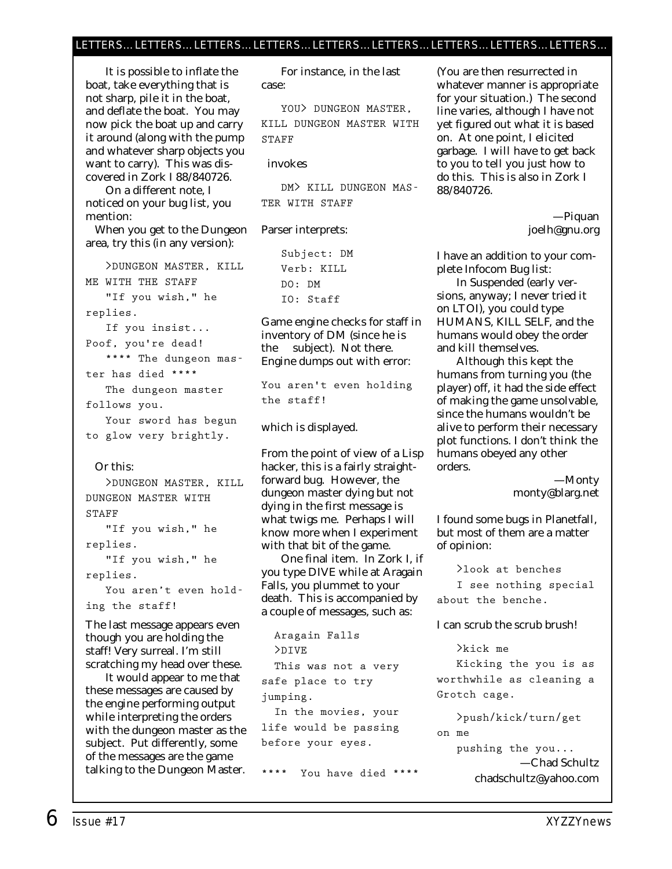# LETTERS…LETTERS…LETTERS…LETTERS…LETTERS…LETTERS…LETTERS…LETTERS…LETTERS…

It is possible to inflate the boat, take everything that is not sharp, pile it in the boat, and deflate the boat. You may now pick the boat up and carry it around (along with the pump and whatever sharp objects you want to carry). This was discovered in Zork I 88/840726.

On a different note, I noticed on your bug list, you mention:

When you get to the Dungeon area, try this (in any version):

**>DUNGEON MASTER, KILL ME WITH THE STAFF "If you wish," he replies. If you insist... Poof, you're dead! \*\*\*\* The dungeon master has died \*\*\*\* The dungeon master follows you.**

**Your sword has begun to glow very brightly.**

### Or this:

**>DUNGEON MASTER, KILL DUNGEON MASTER WITH STAFF "If you wish," he replies. "If you wish," he replies. You aren't even holding the staff!**

The last message appears even though you are holding the staff! Very surreal. I'm still scratching my head over these.

It would appear to me that these messages are caused by the engine performing output while interpreting the orders with the dungeon master as the subject. Put differently, some of the messages are the game talking to the Dungeon Master.

For instance, in the last case:

**YOU> DUNGEON MASTER, KILL DUNGEON MASTER WITH STAFF**

### invokes

**DM> KILL DUNGEON MAS-TER WITH STAFF**

### Parser interprets:

**Subject: DM Verb: KILL DO: DM IO: Staff**

Game engine checks for staff in inventory of DM (since he is the subject). Not there. Engine dumps out with error:

**You aren't even holding the staff!**

which is displayed.

From the point of view of a Lisp hacker, this is a fairly straightforward bug. However, the dungeon master dying but not dying in the first message is what twigs me. Perhaps I will know more when I experiment with that bit of the game.

One final item. In Zork I, if you type DIVE while at Aragain Falls, you plummet to your death. This is accompanied by a couple of messages, such as:

**Aragain Falls >DIVE This was not a very safe place to try jumping. In the movies, your life would be passing before your eyes.**

**\*\*\*\* You have died \*\*\*\***

(You are then resurrected in whatever manner is appropriate for your situation.) The second line varies, although I have not yet figured out what it is based on. At one point, I elicited garbage. I will have to get back to you to tell you just how to do this. This is also in Zork I 88/840726.

> —Piquan joelh@gnu.org

I have an addition to your complete Infocom Bug list:

In Suspended (early versions, anyway; I never tried it on LTOI), you could type HUMANS, KILL SELF, and the humans would obey the order and kill themselves.

Although this kept the humans from turning you (the player) off, it had the side effect of making the game unsolvable, since the humans wouldn't be alive to perform their necessary plot functions. I don't think the humans obeyed any other orders.

> —Monty monty@blarg.net

I found some bugs in Planetfall, but most of them are a matter of opinion:

**>look at benches I see nothing special about the benche.**

### I can scrub the scrub brush!

**>kick me Kicking the you is as worthwhile as cleaning a Grotch cage.**

**>push/kick/turn/get on me pushing the you...** —Chad Schultz chadschultz@yahoo.com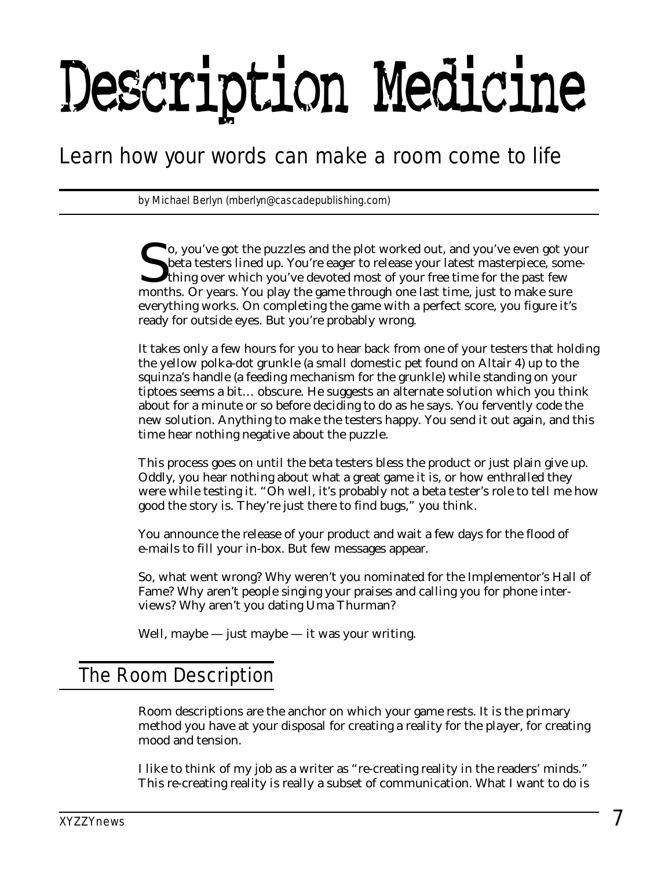# Description Medicine

# *Learn how your words can make a room come to life*

*by Michael Berlyn (mberlyn@cascadepublishing.com)* 

So, you've got the puzzles and the plot worked out, and you've even got your<br>beta testers lined up. You're eager to release your latest masterpiece, something over which you've devoted most of your free time for the past f beta testers lined up. You're eager to release your latest masterpiece, some-I thing over which you've devoted most of your free time for the past few months. Or years. You play the game through one last time, just to make sure everything works. On completing the game with a perfect score, you figure it's ready for outside eyes. But you're probably wrong.

It takes only a few hours for you to hear back from one of your testers that holding the yellow polka-dot grunkle (a small domestic pet found on Altair 4) up to the squinza's handle (a feeding mechanism for the grunkle) while standing on your tiptoes seems a bit… obscure. He suggests an alternate solution which you think about for a minute or so before deciding to do as he says. You fervently code the new solution. Anything to make the testers happy. You send it out again, and this time hear nothing negative about the puzzle.

This process goes on until the beta testers bless the product or just plain give up. Oddly, you hear nothing about what a great game it is, or how enthralled they were while testing it. "Oh well, it's probably not a beta tester's role to tell me how good the story is. They're just there to find bugs," you think.

You announce the release of your product and wait a few days for the flood of e-mails to fill your in-box. But few messages appear.

So, what went wrong? Why weren't you nominated for the Implementor's Hall of Fame? Why aren't people singing your praises and calling you for phone interviews? Why aren't you dating Uma Thurman?

Well, maybe  $-$  just maybe  $-$  it was your writing.

# The Room Description

Room descriptions are the anchor on which your game rests. It is the primary method you have at your disposal for creating a reality for the player, for creating mood and tension.

I like to think of my job as a writer as "re-creating reality in the readers' minds." This re-creating reality is really a subset of communication. What I want to do is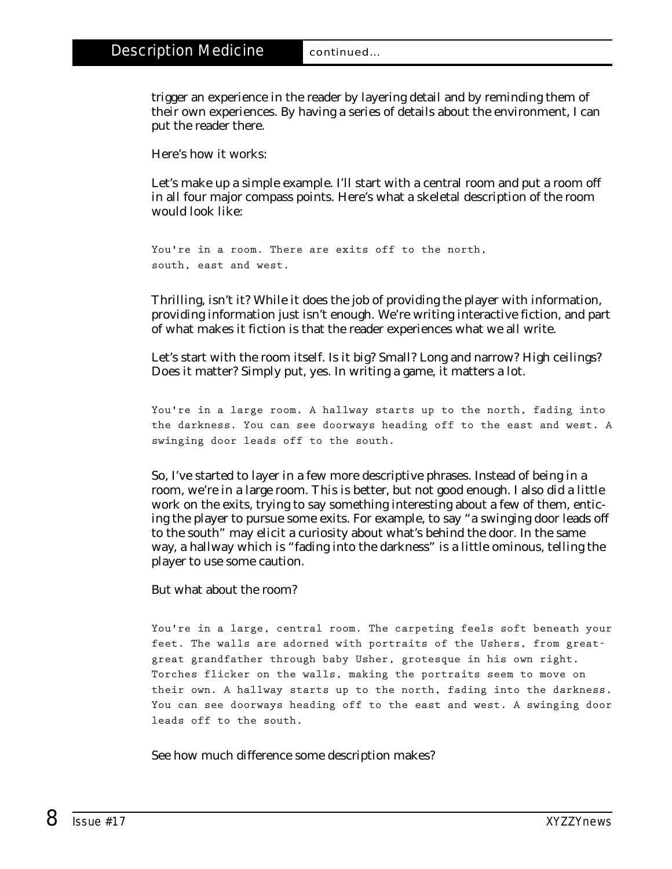trigger an experience in the reader by layering detail and by reminding them of their own experiences. By having a series of details about the environment, I can put the reader there.

Here's how it works:

Let's make up a simple example. I'll start with a central room and put a room off in all four major compass points. Here's what a skeletal description of the room would look like:

```
You're in a room. There are exits off to the north, 
south, east and west.
```
Thrilling, isn't it? While it does the job of providing the player with information, providing information just isn't enough. We're writing interactive fiction, and part of what makes it fiction is that the reader experiences what we all write.

Let's start with the room itself. Is it big? Small? Long and narrow? High ceilings? Does it matter? Simply put, yes. In writing a game, it matters a lot.

**You're in a large room. A hallway starts up to the north, fading into the darkness. You can see doorways heading off to the east and west. A swinging door leads off to the south.**

So, I've started to layer in a few more descriptive phrases. Instead of being in a room, we're in a large room. This is better, but not good enough. I also did a little work on the exits, trying to say something interesting about a few of them, enticing the player to pursue some exits. For example, to say "a swinging door leads off to the south" may elicit a curiosity about what's behind the door. In the same way, a hallway which is "fading into the darkness" is a little ominous, telling the player to use some caution.

But what about the room?

**You're in a large, central room. The carpeting feels soft beneath your feet. The walls are adorned with portraits of the Ushers, from greatgreat grandfather through baby Usher, grotesque in his own right. Torches flicker on the walls, making the portraits seem to move on their own. A hallway starts up to the north, fading into the darkness. You can see doorways heading off to the east and west. A swinging door leads off to the south.**

See how much difference some description makes?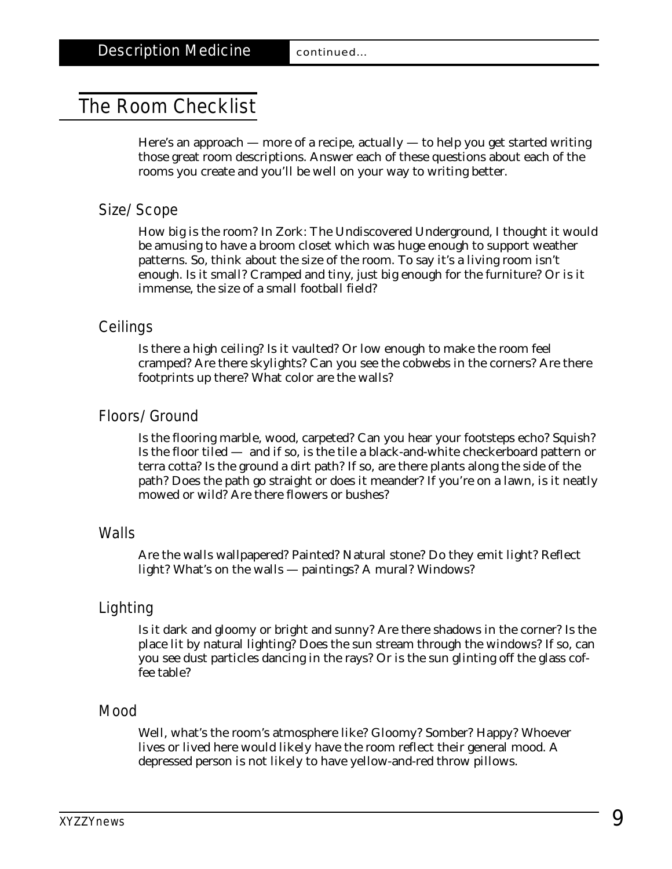# The Room Checklist

Here's an approach — more of a recipe, actually — to help you get started writing those great room descriptions. Answer each of these questions about each of the rooms you create and you'll be well on your way to writing better.

# Size/Scope

How big is the room? In Zork: The Undiscovered Underground, I thought it would be amusing to have a broom closet which was huge enough to support weather patterns. So, think about the size of the room. To say it's a living room isn't enough. Is it small? Cramped and tiny, just big enough for the furniture? Or is it immense, the size of a small football field?

# **Ceilings**

Is there a high ceiling? Is it vaulted? Or low enough to make the room feel cramped? Are there skylights? Can you see the cobwebs in the corners? Are there footprints up there? What color are the walls?

# Floors/Ground

Is the flooring marble, wood, carpeted? Can you hear your footsteps echo? Squish? Is the floor tiled — and if so, is the tile a black-and-white checkerboard pattern or terra cotta? Is the ground a dirt path? If so, are there plants along the side of the path? Does the path go straight or does it meander? If you're on a lawn, is it neatly mowed or wild? Are there flowers or bushes?

# Walls

Are the walls wallpapered? Painted? Natural stone? Do they emit light? Reflect light? What's on the walls — paintings? A mural? Windows?

# Lighting

Is it dark and gloomy or bright and sunny? Are there shadows in the corner? Is the place lit by natural lighting? Does the sun stream through the windows? If so, can you see dust particles dancing in the rays? Or is the sun glinting off the glass coffee table?

# Mood

Well, what's the room's atmosphere like? Gloomy? Somber? Happy? Whoever lives or lived here would likely have the room reflect their general mood. A depressed person is not likely to have yellow-and-red throw pillows.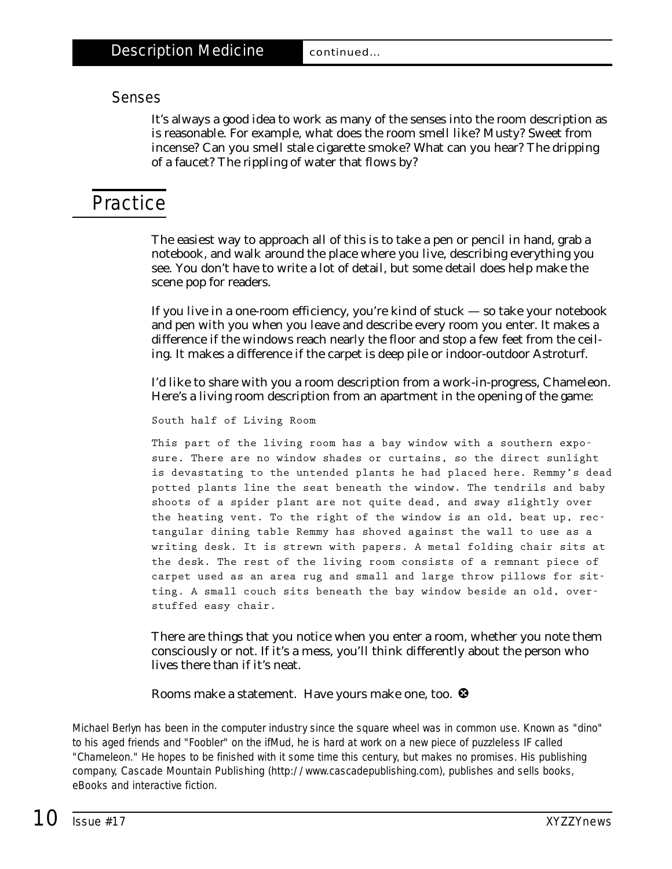# Senses

It's always a good idea to work as many of the senses into the room description as is reasonable. For example, what does the room smell like? Musty? Sweet from incense? Can you smell stale cigarette smoke? What can you hear? The dripping of a faucet? The rippling of water that flows by?

# **Practice**

The easiest way to approach all of this is to take a pen or pencil in hand, grab a notebook, and walk around the place where you live, describing everything you see. You don't have to write a lot of detail, but some detail does help make the scene pop for readers.

If you live in a one-room efficiency, you're kind of stuck — so take your notebook and pen with you when you leave and describe every room you enter. It makes a difference if the windows reach nearly the floor and stop a few feet from the ceiling. It makes a difference if the carpet is deep pile or indoor-outdoor Astroturf.

I'd like to share with you a room description from a work-in-progress, Chameleon. Here's a living room description from an apartment in the opening of the game:

**South half of Living Room**

**This part of the living room has a bay window with a southern exposure. There are no window shades or curtains, so the direct sunlight is devastating to the untended plants he had placed here. Remmy's dead potted plants line the seat beneath the window. The tendrils and baby shoots of a spider plant are not quite dead, and sway slightly over the heating vent. To the right of the window is an old, beat up, rectangular dining table Remmy has shoved against the wall to use as a writing desk. It is strewn with papers. A metal folding chair sits at the desk. The rest of the living room consists of a remnant piece of carpet used as an area rug and small and large throw pillows for sitting. A small couch sits beneath the bay window beside an old, overstuffed easy chair.**

There are things that *you* notice when you enter a room, whether you note them consciously or not. If it's a mess, you'll think differently about the person who lives there than if it's neat.

Rooms make a statement. Have yours make one, too.  $\bullet$ 

*Michael Berlyn has been in the computer industry since the square wheel was in common use. Known as "dino" to his aged friends and "Foobler" on the ifMud, he is hard at work on a new piece of puzzleless IF called "Chameleon." He hopes to be finished with it some time this century, but makes no promises. His publishing company, Cascade Mountain Publishing [\(http://www.cascadepublishing.com\),](http://www.cascadepublishing.com) publishes and sells books, eBooks and interactive fiction.*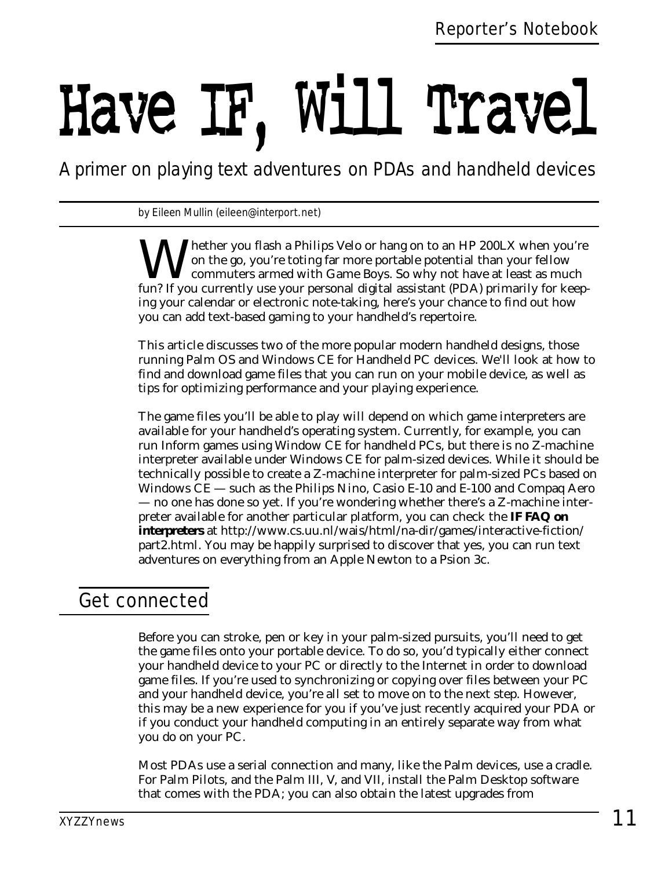# Have IF, Will Travel

*A primer on playing text adventures on PDAs and handheld devices*

*by Eileen Mullin (eileen@interport.net)*

Whether you flash a Philips Velo or hang on to an HP 200LX when you're<br>on the go, you're toting far more portable potential than your fellow<br>fun? If you currently use your personal digital assistant (PDA) primarily for kee on the go, you're toting far more portable potential than your fellow commuters armed with Game Boys. So why not have at least as much fun? If you currently use your personal digital assistant (PDA) primarily for keeping your calendar or electronic note-taking, here's your chance to find out how you can add text-based gaming to your handheld's repertoire.

This article discusses two of the more popular modern handheld designs, those running Palm OS and Windows CE for Handheld PC devices. We'll look at how to find and download game files that you can run on your mobile device, as well as tips for optimizing performance and your playing experience.

The game files you'll be able to play will depend on which game interpreters are available for your handheld's operating system. Currently, for example, you can run Inform games using Window CE for handheld PCs, but there is no Z-machine interpreter available under Windows CE for palm-sized devices. While it should be technically possible to create a Z-machine interpreter for palm-sized PCs based on Windows CE — such as the Philips Nino, Casio E-10 and E-100 and Compaq Aero — no one has done so yet. If you're wondering whether there's a Z-machine interpreter available for another particular platform, you can check the **IF FAQ on interpreters** at<http://www.cs.uu.nl/wais/html/na-dir/games/interactive-fiction/> part2.html. You may be happily surprised to discover that yes, you can run text adventures on everything from an Apple Newton to a Psion 3c.

# Get connected

Before you can stroke, pen or key in your palm-sized pursuits, you'll need to get the game files onto your portable device. To do so, you'd typically either connect your handheld device to your PC or directly to the Internet in order to download game files. If you're used to synchronizing or copying over files between your PC and your handheld device, you're all set to move on to the next step. However, this may be a new experience for you if you've just recently acquired your PDA or if you conduct your handheld computing in an entirely separate way from what you do on your PC.

Most PDAs use a serial connection and many, like the Palm devices, use a cradle. For Palm Pilots, and the Palm III, V, and VII, install the Palm Desktop software that comes with the PDA; you can also obtain the latest upgrades from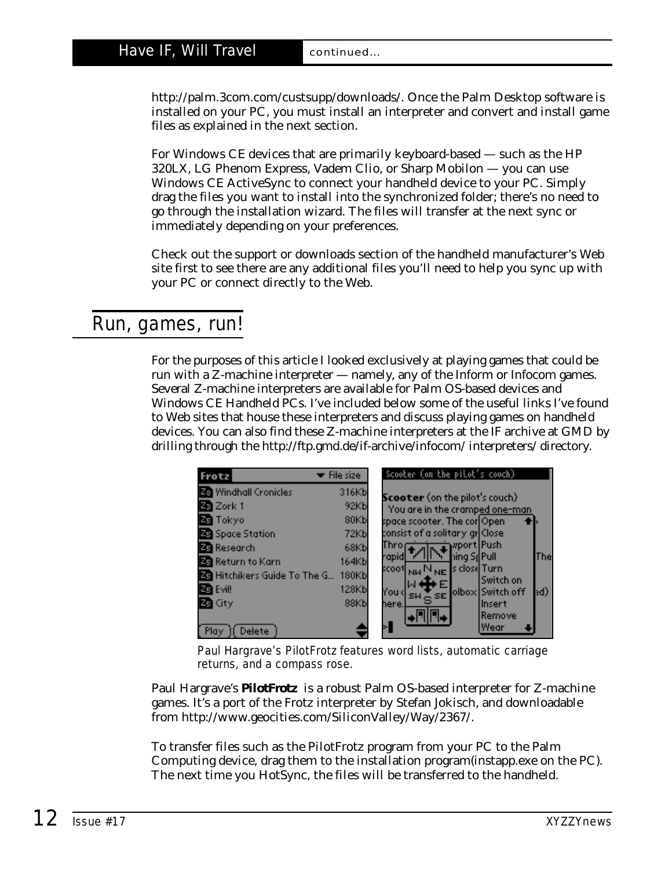[http://palm.3com.com/custsupp/downloads/.](http://palm.3com.com/custsupp/downloads/) Once the Palm Desktop software is installed on your PC, you must install an interpreter and convert and install game files as explained in the next section.

For Windows CE devices that are primarily keyboard-based — such as the HP 320LX, LG Phenom Express, Vadem Clio, or Sharp Mobilon — you can use Windows CE ActiveSync to connect your handheld device to your PC. Simply drag the files you want to install into the synchronized folder; there's no need to go through the installation wizard. The files will transfer at the next sync or immediately depending on your preferences.

Check out the support or downloads section of the handheld manufacturer's Web site first to see there are any additional files you'll need to help you sync up with your PC or connect directly to the Web.

# Run, games, run!

For the purposes of this article I looked exclusively at playing games that could be run with a Z-machine interpreter — namely, any of the Inform or Infocom games. Several Z-machine interpreters are available for Palm OS-based devices and Windows CE Handheld PCs. I've included below some of the useful links I've found to Web sites that house these interpreters and discuss playing games on handheld devices. You can also find these Z-machine interpreters at the IF archive at GMD by drilling through the <http://ftp.gmd.de/if-archive/infocom/> interpreters/ directory.

| Frotz                               | File size         | Scooter (on the pitot's couch)        |     |
|-------------------------------------|-------------------|---------------------------------------|-----|
| Windhall Cronicles                  | 316Kb             | <b>Scooter</b> (on the pilot's couch) |     |
| Za Zork 1                           | 92Kb              | You are in the cramped one-man        |     |
| <b>Za</b> Tokyo                     | 80Kb              | space scooter. The cor Open           |     |
| Space Station                       | 72Kb              | consist of a solitary gr Close        |     |
| <b>23</b> Research                  | 68Kb              | Throp and alwport Push                |     |
| <b>B</b> Return to Karn             | 164Kb             | hing SilPull<br>rapidl                | The |
| <b>BG</b> Hitchikers Guide To The G | 180 <sub>kb</sub> | Switch on                             |     |
| <b>ZE Evil!</b>                     | 128Kb             | olbox Switch off<br>You d             | ed) |
| <b>Za</b> City                      | 88Kb              | SW <sub>O</sub> SE<br>Insert<br>here. |     |
|                                     |                   | Remove                                |     |
| Delete<br>Play                      |                   | ×.<br>Wear                            |     |

Paul Hargrave's PilotFrotz features word lists, automatic carriage returns, and a compass rose.

Paul Hargrave's **PilotFrotz** is a robust Palm OS-based interpreter for Z-machine games. It's a port of the Frotz interpreter by Stefan Jokisch, and downloadable from [http://www.geocities.com/SiliconValley/Way/2367/.](http://www.geocities.com/SiliconValley/Way/2367/)

To transfer files such as the PilotFrotz program from your PC to the Palm Computing device, drag them to the installation program(instapp.exe on the PC). The next time you HotSync, the files will be transferred to the handheld.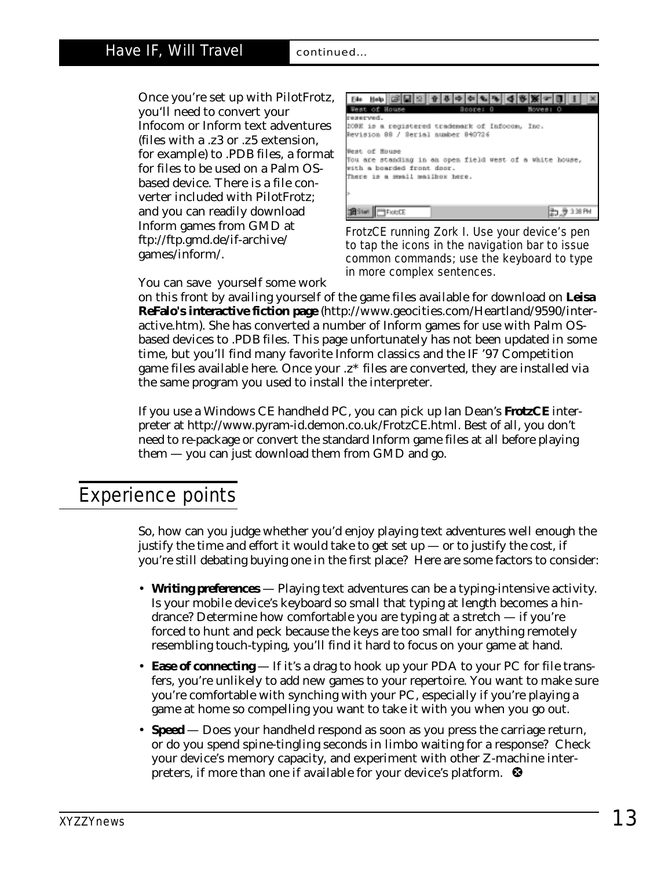Once you're set up with PilotFrotz, you'll need to convert your Infocom or Inform text adventures (files with a .z3 or .z5 extension, for example) to .PDB files, a format for files to be used on a Palm OSbased device. There is a file converter included with PilotFrotz; and you can readily download Inform games from GMD at <ftp://ftp.gmd.de/if-archive/> games/inform/.



FrotzCE running Zork I. Use your device's pen to tap the icons in the navigation bar to issue common commands; use the keyboard to type in more complex sentences.

You can save yourself some work

on this front by availing yourself of the game files available for download on **Leisa ReFalo's interactive fiction page** (http://www.geocities.com/Heartland/9590/inter[active.htm\). She has converted a number of Inform games for use with Palm OS](http://www.geocities.com/Heartland/9590/inter-active.htm)based devices to .PDB files. This page unfortunately has not been updated in some time, but you'll find many favorite Inform classics and the IF '97 Competition game files available here. Once your .z\* files are converted, they are installed via the same program you used to install the interpreter.

If you use a Windows CE handheld PC, you can pick up Ian Dean's **FrotzCE** interpreter at [http://www.pyram-id.demon.co.uk/FrotzCE.html.](http://www.pyram-id.demon.co.uk/FrotzCE.html) Best of all, you don't need to re-package or convert the standard Inform game files at all before playing them — you can just download them from GMD and go.

# Experience points

So, how can you judge whether you'd enjoy playing text adventures well enough the justify the time and effort it would take to get set up  $-$  or to justify the cost, if you're still debating buying one in the first place? Here are some factors to consider:

- **Writing preferences**  Playing text adventures can be a typing-intensive activity. Is your mobile device's keyboard so small that typing at length becomes a hindrance? Determine how comfortable you are typing at a stretch — if you're forced to hunt and peck because the keys are too small for anything remotely resembling touch-typing, you'll find it hard to focus on your game at hand.
- **Ease of connecting** If it's a drag to hook up your PDA to your PC for file transfers, you're unlikely to add new games to your repertoire. You want to make sure you're comfortable with synching with your PC, especially if you're playing a game at home so compelling you want to take it with you when you go out.
- **Speed**  Does your handheld respond as soon as you press the carriage return, or do you spend spine-tingling seconds in limbo waiting for a response? Check your device's memory capacity, and experiment with other Z-machine interpreters, if more than one if available for your device's platform.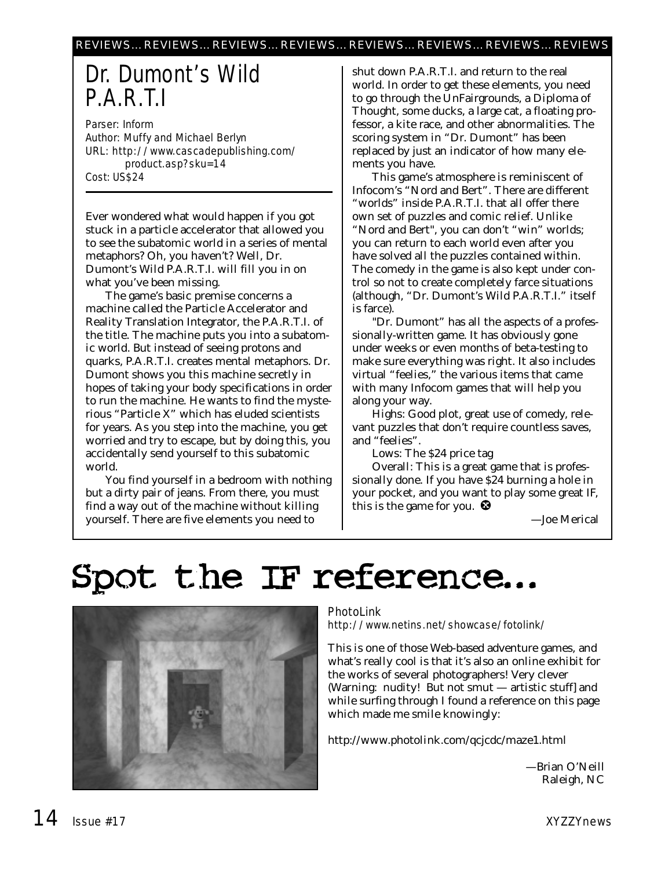# Dr. Dumont's Wild P.A.R.T.I

Parser: Inform Author: Muffy and Michael Berlyn URL: <http://www.cascadepublishing.com/> product.asp?sku=14 Cost: US\$24

Ever wondered what would happen if you got stuck in a particle accelerator that allowed you to see the subatomic world in a series of mental metaphors? Oh, you haven't? Well, Dr. Dumont's Wild P.A.R.T.I. will fill you in on what you've been missing.

The game's basic premise concerns a machine called the Particle Accelerator and Reality Translation Integrator, the P.A.R.T.I. of the title. The machine puts you into a subatomic world. But instead of seeing protons and quarks, P.A.R.T.I. creates mental metaphors. Dr. Dumont shows you this machine secretly in hopes of taking your body specifications in order to run the machine. He wants to find the mysterious "Particle X" which has eluded scientists for years. As you step into the machine, you get worried and try to escape, but by doing this, you accidentally send yourself to this subatomic world.

You find yourself in a bedroom with nothing but a dirty pair of jeans. From there, you must find a way out of the machine without killing yourself. There are five elements you need to

shut down P.A.R.T.I. and return to the real world. In order to get these elements, you need to go through the UnFairgrounds, a Diploma of Thought, some ducks, a large cat, a floating professor, a kite race, and other abnormalities. The scoring system in "Dr. Dumont" has been replaced by just an indicator of how many elements you have.

This game's atmosphere is reminiscent of Infocom's "Nord and Bert". There are different "worlds" inside P.A.R.T.I. that all offer there own set of puzzles and comic relief. Unlike "Nord and Bert", you can don't "win" worlds; you can return to each world even after you have solved all the puzzles contained within. The comedy in the game is also kept under control so not to create completely farce situations (although, "Dr. Dumont's Wild P.A.R.T.I." itself is farce).

"Dr. Dumont" has all the aspects of a professionally-written game. It has obviously gone under weeks or even months of beta-testing to make sure everything was right. It also includes virtual "feelies," the various items that came with many Infocom games that will help you along your way.

Highs: Good plot, great use of comedy, relevant puzzles that don't require countless saves, and "feelies".

Lows: The \$24 price tag

Overall: This is a great game that is professionally done. If you have \$24 burning a hole in your pocket, and you want to play some great IF, this is the game for you.  $\bullet$ 

—Joe Merical

# Spot the IF reference...



# PhotoLink

<http://www.netins.net/showcase/fotolink/>

This is one of those Web-based adventure games, and what's really cool is that it's also an online exhibit for the works of several photographers! Very clever (Warning: nudity! But not smut — artistic stuff] and while surfing through I found a reference on this page which made me smile knowingly:

<http://www.photolink.com/qcjcdc/maze1.html>

—Brian O'Neill Raleigh, NC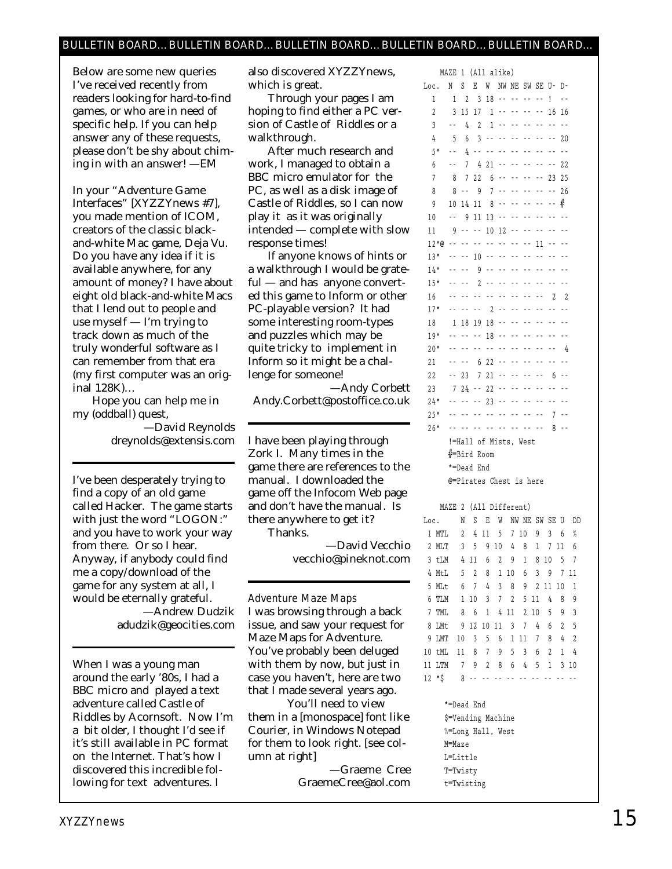## BULLETIN BOARD…BULLETIN BOARD…BULLETIN BOARD…BULLETIN BOARD…BULLETIN BOARD…

*Below are some new queries I've received recently from readers looking for hard-to-find games, or who are in need of specific help. If you can help answer any of these requests, please don't be shy about chiming in with an answer! —EM*

In your "Adventure Game Interfaces" [*XYZZYnews #7*], you made mention of ICOM, creators of the classic blackand-white Mac game, Deja Vu. Do you have any idea if it is available anywhere, for any amount of money? I have about eight old black-and-white Macs that I lend out to people and use myself — I'm trying to track down as much of the truly wonderful software as I can remember from that era (my first computer was an original 128K)…

Hope you can help me in my (oddball) quest,

> —David Reynolds dreynolds@extensis.com

I've been desperately trying to find a copy of an old game called Hacker. The game starts with just the word "LOGON:" and you have to work your way from there. Or so I hear. Anyway, if anybody could find me a copy/download of the game for any system at all, I would be eternally grateful. —Andrew Dudzik adudzik@geocities.com

When I was a young man around the early '80s, I had a BBC micro and played a text adventure called Castle of Riddles by Acornsoft. Now I'm a bit older, I thought I'd see if it's still available in PC format on the Internet. That's how I discovered this incredible following for text adventures. I

also discovered *XYZZYnews,* which is great.

Through your pages I am hoping to find either a PC version of Castle of Riddles or a walkthrough.

After much research and work, I managed to obtain a BBC micro emulator for the PC, as well as a disk image of Castle of Riddles, so I can now play it as it was originally intended — complete with slow response times!

If anyone knows of hints or a walkthrough I would be grateful — and has anyone converted this game to Inform or other PC-playable version? It had some interesting room-types and puzzles which may be quite tricky to implement in Inform so it might be a challenge for someone!

—Andy Corbett Andy.Corbett@postoffice.co.uk

I have been playing through Zork I. Many times in the game there are references to the manual. I downloaded the game off the Infocom Web page and don't have the manual. Is there anywhere to get it? Thanks.

> —David Vecchio vecchio@pineknot.com

### Adventure Maze Maps

I was browsing through a back issue, and saw your request for Maze Maps for Adventure. You've probably been deluged with them by now, but just in case you haven't, here are two that I made several years ago.

You'll need to view them in a [monospace] font like Courier, in Windows Notepad for them to look right. *[see column at right]*

—Graeme Cree GraemeCree@aol.com

|                | MAZE           | 1              | (All alike)    |                |     |                         |                |                |                |                |  |  |
|----------------|----------------|----------------|----------------|----------------|-----|-------------------------|----------------|----------------|----------------|----------------|--|--|
| Loc.           | N              | S              | E              | W              |     | NW NE                   | SW             |                | SE U–          | D-             |  |  |
| 1              | 1              | $\overline{2}$ | 3              | 18             | - - | ٠.                      | - -            | .,             | ļ              | ٠.             |  |  |
| $\overline{2}$ | 3              | 15             | 17             | 1              |     |                         |                | - -            | 16             | 16             |  |  |
| 3              | .,             | 4              | $\overline{2}$ | 1              | ٠.  |                         |                |                | . .            | - -            |  |  |
| 4              | 5              | 6              | 3              |                |     |                         |                |                | ٠.             | 20             |  |  |
| $5*$           |                | 4              | - -            | . .            |     |                         |                |                | . .            |                |  |  |
| 6              | ٠.             | 7              | 4              | 21             | ٠.  |                         |                |                | ٠.             | 22             |  |  |
| 7              | 8              | 7              | 22             | 6              | ٠.  | . .                     | $\overline{a}$ | - -            | 23             | 25             |  |  |
| 8              | 8              | $\overline{a}$ | 9              | 7              | ٠.  |                         | ٠.             | ٠.             | . .            | 26             |  |  |
| 9              | 10             | 14             | 11             | 8              | - - | . .                     |                | - -            | ٠.             | #              |  |  |
| 10             | - -            | 9              | 11             | 13             | ٠.  |                         |                |                | ٠.             | ц,             |  |  |
| 11             | 9              | - -            | . .            | 10             | 12  |                         |                |                |                |                |  |  |
| 12*@           | - -            |                | - -            | . .            | . . |                         | - -            | 11             |                |                |  |  |
| $13*$          |                |                | 10             | - -            |     |                         |                | - -            |                |                |  |  |
| $14*$          | - -            | - -            | 9              | ٠.             | - - | . .                     | - -            | - -            | . .            | . .            |  |  |
| $15*$          | - -            | - -            | $\overline{2}$ | - -            | . . |                         |                | - -            | ÷,             | - -            |  |  |
| 16             | ٠.             | - -            | . .            | - -            | ٠.  | . .                     | - -            | - -            | $\overline{c}$ | $\overline{2}$ |  |  |
| $17*$          | - -            | - -            | - -            | $\overline{2}$ | ٠.  | ٠.                      | ٠.             | - -            | - -            |                |  |  |
| 18             | 1              | 18             | 19             | 18             |     |                         |                |                |                |                |  |  |
| $19*$          | ۵.             | - -            | - -            | 18             |     |                         |                |                |                |                |  |  |
| $20*$          | ٠.             |                | ٠.             | Ц,             |     |                         |                |                |                | 4              |  |  |
| 21             | ٠.             | - -            | 6              | 22             | - - |                         |                | . .            | - -            |                |  |  |
| 22             | - -            | 23             | 7              | 21             |     |                         |                |                | 6              |                |  |  |
| 23             | $\overline{7}$ | 24             | - -            | 22             | ٠.  | ٠.                      | - -            | - -            | - -            | - -            |  |  |
| $24*$          | - -            | - -            | - -            | 23             | ٠.  |                         | $\overline{a}$ | ٠.             | ٠.             | ٠.             |  |  |
| $25*$          | ٠.             | ٠.             |                | - -            |     |                         | $\overline{a}$ | $\overline{a}$ | 7              | ٠.             |  |  |
| $26*$          |                |                |                |                | . . |                         |                |                | 8              |                |  |  |
|                |                | $!=$ Hall      |                |                |     | of Mists, West          |                |                |                |                |  |  |
|                | ∦=Bird<br>Room |                |                |                |     |                         |                |                |                |                |  |  |
|                |                |                | *=Dead End     |                |     |                         |                |                |                |                |  |  |
|                |                |                |                |                |     | @=Pirates Chest is here |                |                |                |                |  |  |
|                |                |                |                |                |     |                         |                |                |                |                |  |  |

**MAZE 2 (All Different)**

> **\*=Dead End \$=Vending Machine %=Long Hall, West M=Maze L=Little T=Twisty t=Twisting**